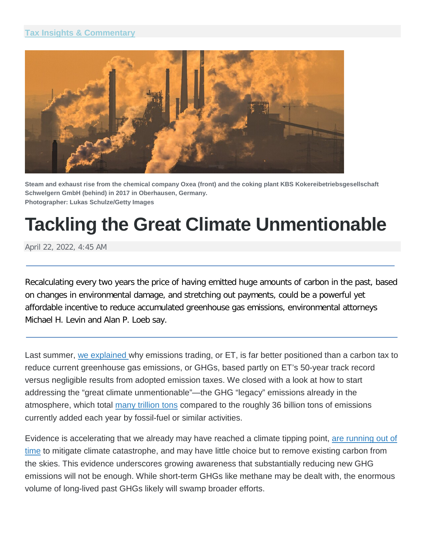

**Steam and exhaust rise from the chemical company Oxea (front) and the coking plant KBS Kokereibetriebsgesellschaft Schwelgern GmbH (behind) in 2017 in Oberhausen, Germany. Photographer: Lukas Schulze/Getty Images**

# **Tackling the Great Climate Unmentionable**

April 22, 2022, 4:45 AM

Recalculating every two years the price of having emitted huge amounts of carbon in the past, based on changes in environmental damage, and stretching out payments, could be a powerful yet affordable incentive to reduce accumulated greenhouse gas emissions, environmental attorneys Michael H. Levin and Alan P. Loeb say.

Last summer, [we explained](https://news.bloomberglaw.com/environment-and-energy/why-carbon-markets-will-work) why emissions trading, or ET, is far better positioned than a carbon tax to reduce current greenhouse gas emissions, or GHGs, based partly on ET's 50-year track record versus negligible results from adopted emission taxes. We closed with a look at how to start addressing the "great climate unmentionable"—the GHG "legacy" emissions already in the atmosphere, which total [many trillion tons](https://www.noaa.gov/news-release/increase-in-atmospheric-methane-set-another-record-during-2021) compared to the roughly 36 billion tons of emissions currently added each year by fossil-fuel or similar activities.

Evidence is accelerating that we already may have reached a climate tipping point, are running out of [time](https://www.bloomberg.com/news/articles/2022-04-04/planet-s-breakneck-warming-likely-to-pass-1-5-c-un-scientists-warn) to mitigate climate catastrophe, and may have little choice but to remove existing carbon from the skies. This evidence underscores growing awareness that substantially reducing new GHG emissions will not be enough. While short-term GHGs like methane may be dealt with, the enormous volume of long-lived past GHGs likely will swamp broader efforts.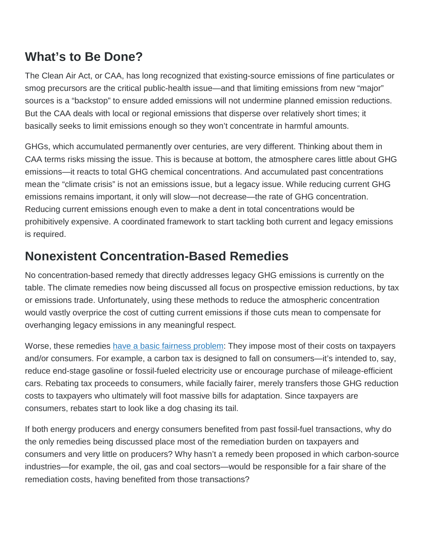### **What's to Be Done?**

The Clean Air Act, or CAA, has long recognized that existing-source emissions of fine particulates or smog precursors are the critical public-health issue—and that limiting emissions from new "major" sources is a "backstop" to ensure added emissions will not undermine planned emission reductions. But the CAA deals with local or regional emissions that disperse over relatively short times; it basically seeks to limit emissions enough so they won't concentrate in harmful amounts.

GHGs, which accumulated permanently over centuries, are very different. Thinking about them in CAA terms risks missing the issue. This is because at bottom, the atmosphere cares little about GHG emissions—it reacts to total GHG chemical concentrations. And accumulated past concentrations mean the "climate crisis" is not an emissions issue, but a legacy issue. While reducing current GHG emissions remains important, it only will slow—not decrease—the rate of GHG concentration. Reducing current emissions enough even to make a dent in total concentrations would be prohibitively expensive. A coordinated framework to start tackling both current and legacy emissions is required.

### **Nonexistent Concentration-Based Remedies**

No concentration-based remedy that directly addresses legacy GHG emissions is currently on the table. The climate remedies now being discussed all focus on prospective emission reductions, by tax or emissions trade. Unfortunately, using these methods to reduce the atmospheric concentration would vastly overprice the cost of cutting current emissions if those cuts mean to compensate for overhanging legacy emissions in any meaningful respect.

Worse, these remedies [have a basic fairness problem:](https://ksr.hkspublications.org/2020/09/24/why-the-recent-proposals-to-solve-the-climate-crisis-fall-short/) They impose most of their costs on taxpayers and/or consumers. For example, a carbon tax is designed to fall on consumers—it's intended to, say, reduce end-stage gasoline or fossil-fueled electricity use or encourage purchase of mileage-efficient cars. Rebating tax proceeds to consumers, while facially fairer, merely transfers those GHG reduction costs to taxpayers who ultimately will foot massive bills for adaptation. Since taxpayers are consumers, rebates start to look like a dog chasing its tail.

If both energy producers and energy consumers benefited from past fossil-fuel transactions, why do the only remedies being discussed place most of the remediation burden on taxpayers and consumers and very little on producers? Why hasn't a remedy been proposed in which carbon-source industries—for example, the oil, gas and coal sectors—would be responsible for a fair share of the remediation costs, having benefited from those transactions?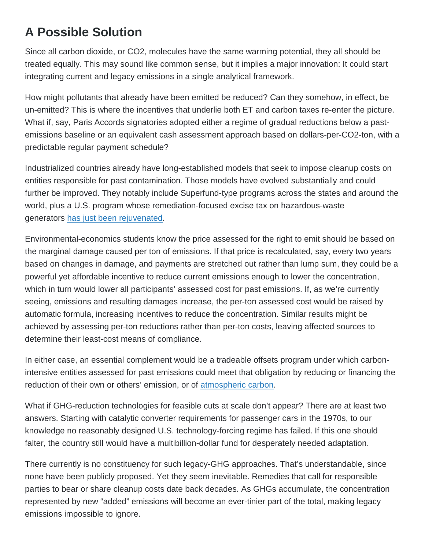## **A Possible Solution**

Since all carbon dioxide, or CO2, molecules have the same warming potential, they all should be treated equally. This may sound like common sense, but it implies a major innovation: It could start integrating current and legacy emissions in a single analytical framework.

How might pollutants that already have been emitted be reduced? Can they somehow, in effect, be un-emitted? This is where the incentives that underlie both ET and carbon taxes re-enter the picture. What if, say, Paris Accords signatories adopted either a regime of gradual reductions below a pastemissions baseline or an equivalent cash assessment approach based on dollars-per-CO2-ton, with a predictable regular payment schedule?

Industrialized countries already have long-established models that seek to impose cleanup costs on entities responsible for past contamination. Those models have evolved substantially and could further be improved. They notably include Superfund-type programs across the states and around the world, plus a U.S. program whose remediation-focused excise tax on hazardous-waste generators [has just been rejuvenated.](https://news.bloombergtax.com/tax-insights-and-commentary/superfund-chemical-excise-taxes-once-again-back-to-run-the-show)

Environmental-economics students know the price assessed for the right to emit should be based on the marginal damage caused per ton of emissions. If that price is recalculated, say, every two years based on changes in damage, and payments are stretched out rather than lump sum, they could be a powerful yet affordable incentive to reduce current emissions enough to lower the concentration, which in turn would lower all participants' assessed cost for past emissions. If, as we're currently seeing, emissions and resulting damages increase, the per-ton assessed cost would be raised by automatic formula, increasing incentives to reduce the concentration. Similar results might be achieved by assessing per-ton reductions rather than per-ton costs, leaving affected sources to determine their least-cost means of compliance.

In either case, an essential complement would be a tradeable offsets program under which carbonintensive entities assessed for past emissions could meet that obligation by reducing or financing the reduction of their own or others' emission, or of [atmospheric carbon.](https://scied.ucar.edu/learning-zone/climate-solutions/can-we-pull-carbon-dioxide-out-atmosphere)

What if GHG-reduction technologies for feasible cuts at scale don't appear? There are at least two answers. Starting with catalytic converter requirements for passenger cars in the 1970s, to our knowledge no reasonably designed U.S. technology-forcing regime has failed. If this one should falter, the country still would have a multibillion-dollar fund for desperately needed adaptation.

There currently is no constituency for such legacy-GHG approaches. That's understandable, since none have been publicly proposed. Yet they seem inevitable. Remedies that call for responsible parties to bear or share cleanup costs date back decades. As GHGs accumulate, the concentration represented by new "added" emissions will become an ever-tinier part of the total, making legacy emissions impossible to ignore.